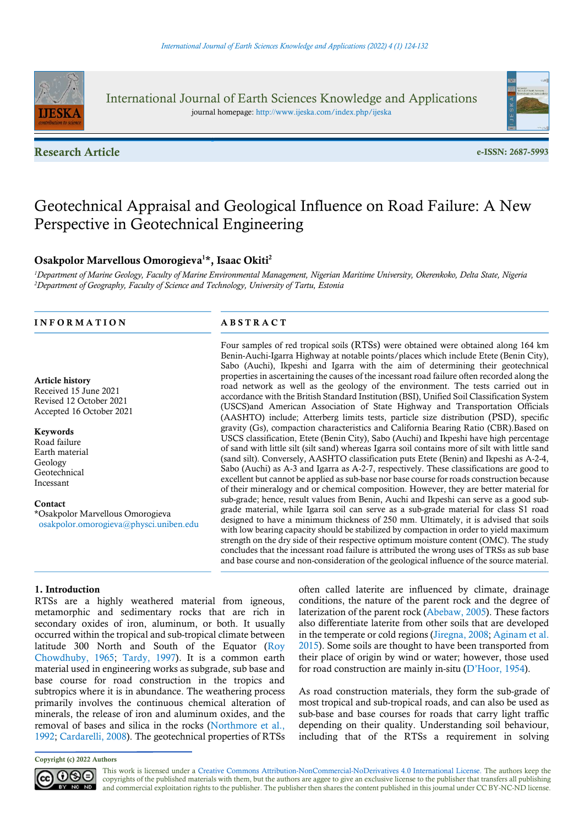

International Journal of Earth Sciences Knowledge and Applications journal homepage: http://www.ijeska.com/index.php/ijeska

Research Article e-ISSN: 2687-5993



# Geotechnical Appraisal and Geological Influence on Road Failure: A New Perspective in Geotechnical Engineering

# Osakpolor Marvellous Omorogieva<sup>1\*</sup>, Isaac Okiti<sup>2</sup>

<sup>1</sup>Department of Marine Geology, Faculty of Marine Environmental Management, Nigerian Maritime University, Okerenkoko, Delta State, Nigeria <sup>2</sup>Department of Geography, Faculty of Science and Technology, University of Tartu, Estonia

## INFORMATION ABSTRACT

#### Article history

Received 15 June 2021 Revised 12 October 2021 Accepted 16 October 2021

#### Keywords

Road failure Earth material Geology Geotechnical Incessant

#### Contact

\*Osakpolor Marvellous Omorogieva osakpolor.omorogieva@physci.uniben.edu

Four samples of red tropical soils (RTSs) were obtained were obtained along 164 km Benin-Auchi-Igarra Highway at notable points/places which include Etete (Benin City), Sabo (Auchi), Ikpeshi and Igarra with the aim of determining their geotechnical properties in ascertaining the causes of the incessant road failure often recorded along the road network as well as the geology of the environment. The tests carried out in accordance with the British Standard Institution (BSI), Unified Soil Classification System (USCS)and American Association of State Highway and Transportation Officials (AASHTO) include; Atterberg limits tests, particle size distribution (PSD), specific gravity (Gs), compaction characteristics and California Bearing Ratio (CBR).Based on USCS classification, Etete (Benin City), Sabo (Auchi) and Ikpeshi have high percentage of sand with little silt (silt sand) whereas Igarra soil contains more of silt with little sand (sand silt). Conversely, AASHTO classification puts Etete (Benin) and Ikpeshi as A-2-4, Sabo (Auchi) as A-3 and Igarra as A-2-7, respectively. These classifications are good to excellent but cannot be applied as sub-base nor base course for roads construction because of their mineralogy and or chemical composition. However, they are better material for sub-grade; hence, result values from Benin, Auchi and Ikpeshi can serve as a good subgrade material, while Igarra soil can serve as a sub-grade material for class S1 road designed to have a minimum thickness of 250 mm. Ultimately, it is advised that soils with low bearing capacity should be stabilized by compaction in order to yield maximum strength on the dry side of their respective optimum moisture content (OMC). The study concludes that the incessant road failure is attributed the wrong uses of TRSs as sub base and base course and non-consideration of the geological influence of the source material.

# 1. Introduction

RTSs are a highly weathered material from igneous, metamorphic and sedimentary rocks that are rich in secondary oxides of iron, aluminum, or both. It usually occurred within the tropical and sub-tropical climate between latitude 300 North and South of the Equator (Roy Chowdhuby, 1965; Tardy, 1997). It is a common earth material used in engineering works as subgrade, sub base and base course for road construction in the tropics and subtropics where it is in abundance. The weathering process primarily involves the continuous chemical alteration of minerals, the release of iron and aluminum oxides, and the removal of bases and silica in the rocks (Northmore et al., 1992; Cardarelli, 2008). The geotechnical properties of RTSs

often called laterite are influenced by climate, drainage conditions, the nature of the parent rock and the degree of laterization of the parent rock (Abebaw, 2005). These factors also differentiate laterite from other soils that are developed in the temperate or cold regions (Jiregna, 2008; Aginam et al. 2015). Some soils are thought to have been transported from their place of origin by wind or water; however, those used for road construction are mainly in-situ (D'Hoor, 1954).

As road construction materials, they form the sub-grade of most tropical and sub-tropical roads, and can also be used as sub-base and base courses for roads that carry light traffic depending on their quality. Understanding soil behaviour, including that of the RTSs a requirement in solving

Copyright (c) 2022 Authors



This work is licensed under a Creative Commons Attribution-NonCommercial-NoDerivatives 4.0 International License. The authors keep the copyrights of the published materials with them, but the authors are aggee to give an exclusive license to the publisher that transfers all publishing and commercial exploitation rights to the publisher. The publisher then shares the content published in this journal under CC BY-NC-ND license.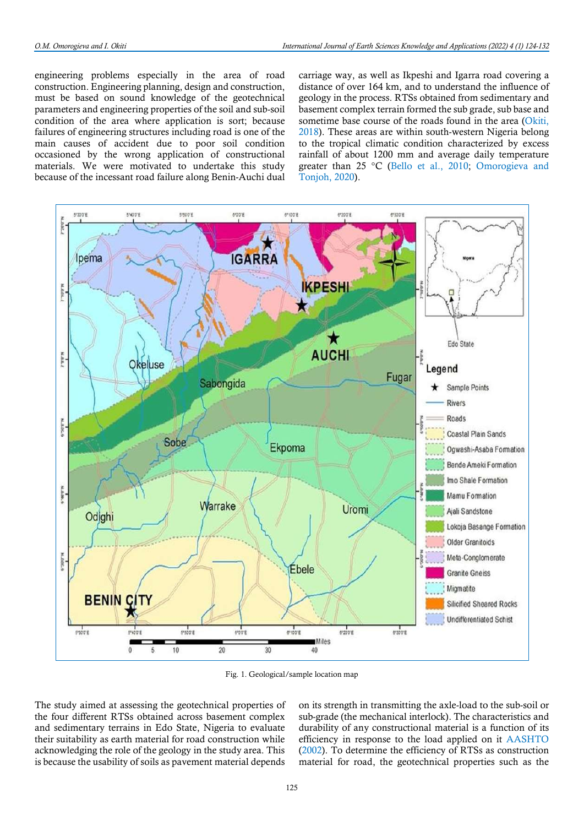engineering problems especially in the area of road construction. Engineering planning, design and construction, must be based on sound knowledge of the geotechnical parameters and engineering properties of the soil and sub-soil condition of the area where application is sort; because failures of engineering structures including road is one of the main causes of accident due to poor soil condition occasioned by the wrong application of constructional materials. We were motivated to undertake this study because of the incessant road failure along Benin-Auchi dual

carriage way, as well as Ikpeshi and Igarra road covering a distance of over 164 km, and to understand the influence of geology in the process. RTSs obtained from sedimentary and basement complex terrain formed the sub grade, sub base and sometime base course of the roads found in the area (Okiti, 2018). These areas are within south-western Nigeria belong to the tropical climatic condition characterized by excess rainfall of about 1200 mm and average daily temperature greater than 25 °C (Bello et al., 2010; Omorogieva and Tonjoh, 2020).



Fig. 1. Geological/sample location map

The study aimed at assessing the geotechnical properties of the four different RTSs obtained across basement complex and sedimentary terrains in Edo State, Nigeria to evaluate their suitability as earth material for road construction while acknowledging the role of the geology in the study area. This is because the usability of soils as pavement material depends

on its strength in transmitting the axle-load to the sub-soil or sub-grade (the mechanical interlock). The characteristics and durability of any constructional material is a function of its efficiency in response to the load applied on it AASHTO (2002). To determine the efficiency of RTSs as construction material for road, the geotechnical properties such as the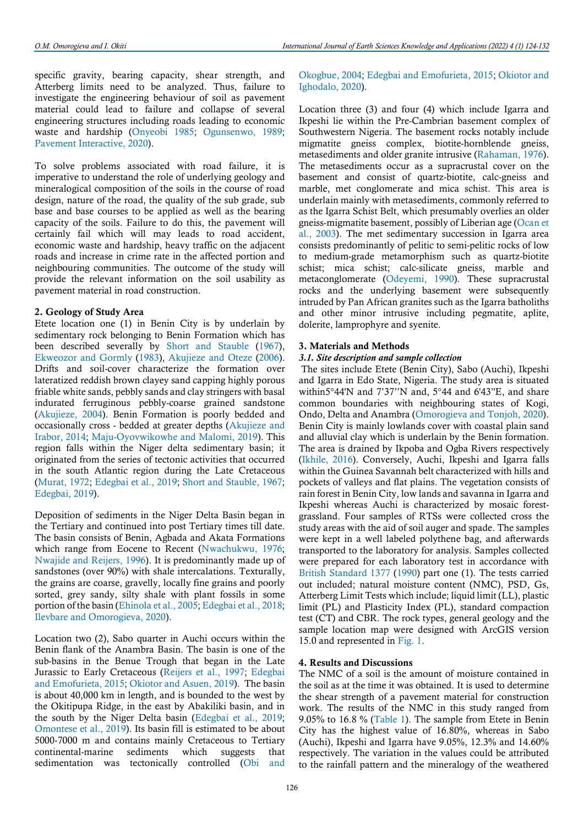specific gravity, bearing capacity, shear strength, and Atterberg limits need to be analyzed. Thus, failure to investigate the engineering behaviour of soil as pavement material could lead to failure and collapse of several engineering structures including roads leading to economic waste and hardship (Onyeobi 1985; Ogunsenwo, 1989; Pavement Interactive, 2020).

To solve problems associated with road failure, it is imperative to understand the role of underlying geology and mineralogical composition of the soils in the course of road design, nature of the road, the quality of the sub grade, sub base and base courses to be applied as well as the bearing capacity of the soils. Failure to do this, the pavement will certainly fail which will may leads to road accident, economic waste and hardship, heavy traffic on the adjacent roads and increase in crime rate in the affected portion and neighbouring communities. The outcome of the study will provide the relevant information on the soil usability as pavement material in road construction.

#### 2. Geology of Study Area

Etete location one (1) in Benin City is by underlain by sedimentary rock belonging to Benin Formation which has been described severally by Short and Stauble (1967), Ekweozor and Gormly (1983), Akujieze and Oteze (2006). Drifts and soil-cover characterize the formation over lateratized reddish brown clayey sand capping highly porous friable white sands, pebbly sands and clay stringers with basal indurated ferruginous pebbly-coarse grained sandstone (Akujieze, 2004). Benin Formation is poorly bedded and occasionally cross - bedded at greater depths (Akujieze and Irabor, 2014; Maju-Oyovwikowhe and Malomi, 2019). This region falls within the Niger delta sedimentary basin; it originated from the series of tectonic activities that occurred in the south Atlantic region during the Late Cretaceous (Murat, 1972; Edegbai et al., 2019; Short and Stauble, 1967; Edegbai, 2019).

Deposition of sediments in the Niger Delta Basin began in the Tertiary and continued into post Tertiary times till date. The basin consists of Benin, Agbada and Akata Formations which range from Eocene to Recent (Nwachukwu, 1976; Nwajide and Reijers, 1996). It is predominantly made up of sandstones (over 90%) with shale intercalations. Texturally, the grains are coarse, gravelly, locally fine grains and poorly sorted, grey sandy, silty shale with plant fossils in some portion of the basin (Ehinola et al., 2005; Edegbai et al., 2018; Ilevbare and Omorogieva, 2020).

Location two (2), Sabo quarter in Auchi occurs within the Benin flank of the Anambra Basin. The basin is one of the sub-basins in the Benue Trough that began in the Late Jurassic to Early Cretaceous (Reijers et al., 1997; Edegbai and Emofurieta, 2015; Okiotor and Asuen, 2019). The basin is about 40,000 km in length, and is bounded to the west by the Okitipupa Ridge, in the east by Abakiliki basin, and in the south by the Niger Delta basin (Edegbai et al., 2019; Omontese et al., 2019). Its basin fill is estimated to be about 5000-7000 m and contains mainly Cretaceous to Tertiary continental-marine sediments which suggests that sedimentation was tectonically controlled (Obi and

# Okogbue, 2004; Edegbai and Emofurieta, 2015; Okiotor and Ighodalo, 2020).

Location three (3) and four (4) which include Igarra and Ikpeshi lie within the Pre-Cambrian basement complex of Southwestern Nigeria. The basement rocks notably include migmatite gneiss complex, biotite-hornblende gneiss, metasediments and older granite intrusive (Rahaman, 1976). The metasediments occur as a supracrustal cover on the basement and consist of quartz-biotite, calc-gneiss and marble, met conglomerate and mica schist. This area is underlain mainly with metasediments, commonly referred to as the Igarra Schist Belt, which presumably overlies an older gneiss-migmatite basement, possibly of Liberian age (Ocan et al., 2003). The met sedimentary succession in Igarra area consists predominantly of pelitic to semi-pelitic rocks of low to medium-grade metamorphism such as quartz-biotite schist; mica schist; calc-silicate gneiss, marble and metaconglomerate (Odeyemi, 1990). These supracrustal rocks and the underlying basement were subsequently intruded by Pan African granites such as the Igarra batholiths and other minor intrusive including pegmatite, aplite, dolerite, lamprophyre and syenite.

# 3. Materials and Methods

## 3.1. Site description and sample collection

 The sites include Etete (Benin City), Sabo (Auchi), Ikpeshi and Igarra in Edo State, Nigeria. The study area is situated within5°44'N and 7'37''N and, 5°44 and 6'43''E, and share common boundaries with neighbouring states of Kogi, Ondo, Delta and Anambra (Omorogieva and Tonjoh, 2020). Benin City is mainly lowlands cover with coastal plain sand and alluvial clay which is underlain by the Benin formation. The area is drained by Ikpoba and Ogba Rivers respectively (Ikhile, 2016). Conversely, Auchi, Ikpeshi and Igarra falls within the Guinea Savannah belt characterized with hills and pockets of valleys and flat plains. The vegetation consists of rain forest in Benin City, low lands and savanna in Igarra and Ikpeshi whereas Auchi is characterized by mosaic forestgrassland. Four samples of RTSs were collected cross the study areas with the aid of soil auger and spade. The samples were kept in a well labeled polythene bag, and afterwards transported to the laboratory for analysis. Samples collected were prepared for each laboratory test in accordance with British Standard 1377 (1990) part one (1). The tests carried out included; natural moisture content (NMC), PSD, Gs, Atterberg Limit Tests which include; liquid limit (LL), plastic limit (PL) and Plasticity Index (PL), standard compaction test (CT) and CBR. The rock types, general geology and the sample location map were designed with ArcGIS version 15.0 and represented in Fig. 1.

# 4. Results and Discussions

The NMC of a soil is the amount of moisture contained in the soil as at the time it was obtained. It is used to determine the shear strength of a pavement material for construction work. The results of the NMC in this study ranged from 9.05% to 16.8 % (Table 1). The sample from Etete in Benin City has the highest value of 16.80%, whereas in Sabo (Auchi), Ikpeshi and Igarra have 9.05%, 12.3% and 14.60% respectively. The variation in the values could be attributed to the rainfall pattern and the mineralogy of the weathered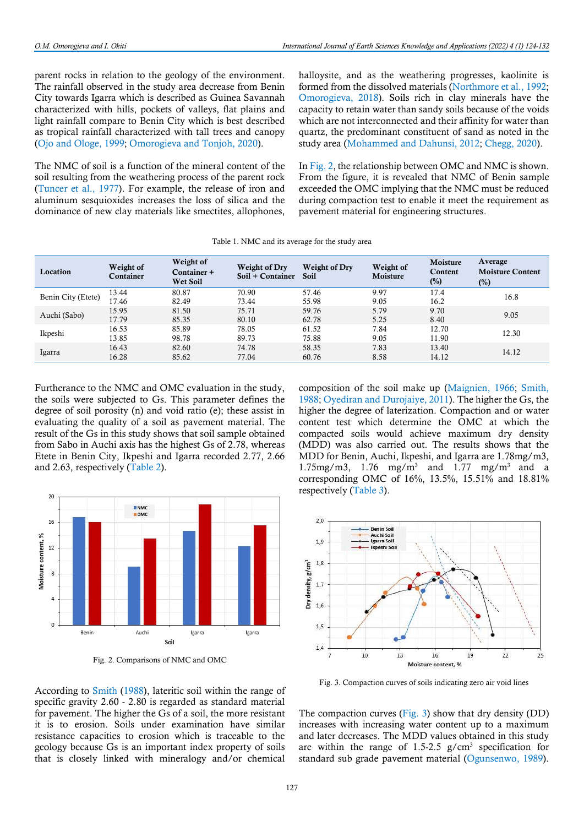parent rocks in relation to the geology of the environment. The rainfall observed in the study area decrease from Benin City towards Igarra which is described as Guinea Savannah characterized with hills, pockets of valleys, flat plains and light rainfall compare to Benin City which is best described as tropical rainfall characterized with tall trees and canopy (Ojo and Ologe, 1999; Omorogieva and Tonjoh, 2020).

The NMC of soil is a function of the mineral content of the soil resulting from the weathering process of the parent rock (Tuncer et al., 1977). For example, the release of iron and aluminum sesquioxides increases the loss of silica and the dominance of new clay materials like smectites, allophones,

halloysite, and as the weathering progresses, kaolinite is formed from the dissolved materials (Northmore et al., 1992; Omorogieva, 2018). Soils rich in clay minerals have the capacity to retain water than sandy soils because of the voids which are not interconnected and their affinity for water than quartz, the predominant constituent of sand as noted in the study area (Mohammed and Dahunsi, 2012; Chegg, 2020).

In Fig. 2, the relationship between OMC and NMC is shown. From the figure, it is revealed that NMC of Benin sample exceeded the OMC implying that the NMC must be reduced during compaction test to enable it meet the requirement as pavement material for engineering structures.

|                    |                        |                                      |                                          | I were 1, 1, 1, 1, 1 can write a complete the state, where |                       |                               |                                              |
|--------------------|------------------------|--------------------------------------|------------------------------------------|------------------------------------------------------------|-----------------------|-------------------------------|----------------------------------------------|
| Location           | Weight of<br>Container | Weight of<br>Container +<br>Wet Soil | <b>Weight of Dry</b><br>Soil + Container | Weight of Dry<br><b>Soil</b>                               | Weight of<br>Moisture | Moisture<br>Content<br>$(\%)$ | Average<br><b>Moisture Content</b><br>$(\%)$ |
| Benin City (Etete) | 13.44                  | 80.87                                | 70.90                                    | 57.46                                                      | 9.97                  | 17.4                          | 16.8                                         |
|                    | 17.46                  | 82.49                                | 73.44                                    | 55.98                                                      | 9.05                  | 16.2                          |                                              |
|                    | 15.95                  | 81.50                                | 75.71                                    | 59.76                                                      | 5.79                  | 9.70                          | 9.05                                         |
| Auchi (Sabo)       | 17.79                  | 85.35                                | 80.10                                    | 62.78                                                      | 5.25                  | 8.40                          |                                              |
|                    | 16.53                  | 85.89                                | 78.05                                    | 61.52                                                      | 12.70<br>7.84         |                               |                                              |
| Ikpeshi            | 13.85                  | 98.78                                | 89.73                                    | 75.88                                                      | 9.05                  | 11.90                         | 12.30                                        |
| Igarra             | 16.43                  | 82.60                                | 74.78                                    | 58.35                                                      | 7.83                  | 13.40                         |                                              |
|                    | 16.28                  | 85.62                                | 77.04                                    | 60.76                                                      | 8.58                  | 14.12                         | 14.12                                        |

Table 1. NMC and its average for the study area

Furtherance to the NMC and OMC evaluation in the study, the soils were subjected to Gs. This parameter defines the degree of soil porosity (n) and void ratio (e); these assist in evaluating the quality of a soil as pavement material. The result of the Gs in this study shows that soil sample obtained from Sabo in Auchi axis has the highest Gs of 2.78, whereas Etete in Benin City, Ikpeshi and Igarra recorded 2.77, 2.66 and 2.63, respectively (Table 2).



Fig. 2. Comparisons of NMC and OMC

According to Smith (1988), lateritic soil within the range of specific gravity 2.60 - 2.80 is regarded as standard material for pavement. The higher the Gs of a soil, the more resistant it is to erosion. Soils under examination have similar resistance capacities to erosion which is traceable to the geology because Gs is an important index property of soils that is closely linked with mineralogy and/or chemical

composition of the soil make up (Maignien, 1966; Smith, 1988; Oyediran and Durojaiye, 2011). The higher the Gs, the higher the degree of laterization. Compaction and or water content test which determine the OMC at which the compacted soils would achieve maximum dry density (MDD) was also carried out. The results shows that the MDD for Benin, Auchi, Ikpeshi, and Igarra are 1.78mg/m3,  $1.75$ mg/m3,  $1.76$  mg/m<sup>3</sup> and  $1.77$  mg/m<sup>3</sup> and a corresponding OMC of 16%, 13.5%, 15.51% and 18.81% respectively (Table 3).



Fig. 3. Compaction curves of soils indicating zero air void lines

The compaction curves (Fig. 3) show that dry density (DD) increases with increasing water content up to a maximum and later decreases. The MDD values obtained in this study are within the range of  $1.5{\text -}2.5$  g/cm<sup>3</sup> specification for standard sub grade pavement material (Ogunsenwo, 1989).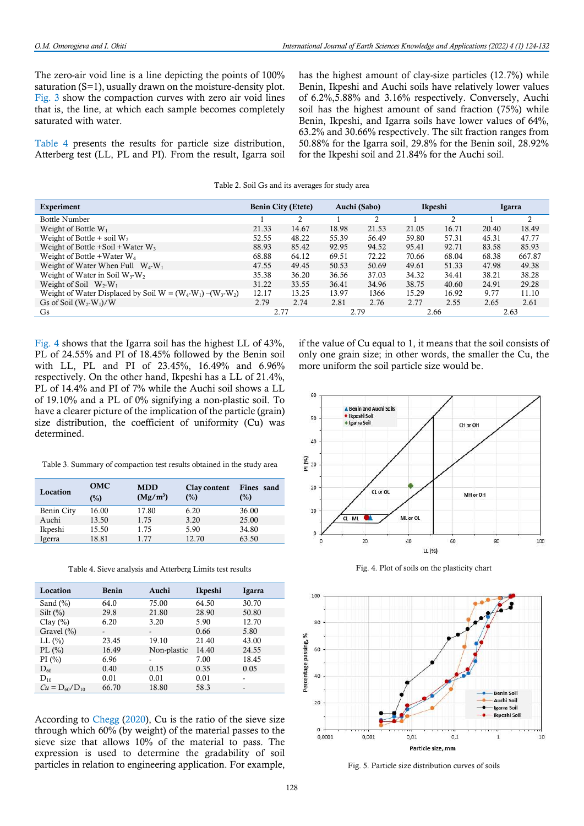The zero-air void line is a line depicting the points of 100% saturation (S=1), usually drawn on the moisture-density plot. Fig. 3 show the compaction curves with zero air void lines that is, the line, at which each sample becomes completely saturated with water.

Table 4 presents the results for particle size distribution, Atterberg test (LL, PL and PI). From the result, Igarra soil has the highest amount of clay-size particles (12.7%) while Benin, Ikpeshi and Auchi soils have relatively lower values of 6.2%,5.88% and 3.16% respectively. Conversely, Auchi soil has the highest amount of sand fraction (75%) while Benin, Ikpeshi, and Igarra soils have lower values of 64%, 63.2% and 30.66% respectively. The silt fraction ranges from 50.88% for the Igarra soil, 29.8% for the Benin soil, 28.92% for the Ikpeshi soil and 21.84% for the Auchi soil.

Table 2. Soil Gs and its averages for study area

| Experiment                                                      |       | <b>Benin City (Etete)</b> |       | Auchi (Sabo) |       | Ikpeshi |       | Igarra |
|-----------------------------------------------------------------|-------|---------------------------|-------|--------------|-------|---------|-------|--------|
| <b>Bottle Number</b>                                            |       | C                         |       | C.           |       |         |       | C.     |
| Weight of Bottle $W_1$                                          | 21.33 | 14.67                     | 18.98 | 21.53        | 21.05 | 16.71   | 20.40 | 18.49  |
| Weight of Bottle + soil $W_2$                                   | 52.55 | 48.22                     | 55.39 | 56.49        | 59.80 | 57.31   | 45.31 | 47.77  |
| Weight of Bottle $+$ Soil $+$ Water W <sub>3</sub>              | 88.93 | 85.42                     | 92.95 | 94.52        | 95.41 | 92.71   | 83.58 | 85.93  |
| Weight of Bottle + Water $W_4$                                  | 68.88 | 64.12                     | 69.51 | 72.22        | 70.66 | 68.04   | 68.38 | 667.87 |
| Weight of Water When Full $W_4-W_1$                             | 47.55 | 49.45                     | 50.53 | 50.69        | 49.61 | 51.33   | 47.98 | 49.38  |
| Weight of Water in Soil $W_3-W_2$                               | 35.38 | 36.20                     | 36.56 | 37.03        | 34.32 | 34.41   | 38.21 | 38.28  |
| Weight of Soil $W_2-W_1$                                        | 31.22 | 33.55                     | 36.41 | 34.96        | 38.75 | 40.60   | 24.91 | 29.28  |
| Weight of Water Displaced by Soil W = $(W_4-W_1)$ – $(W_3-W_2)$ | 12.17 | 13.25                     | 13.97 | 1366         | 15.29 | 16.92   | 9.77  | 11.10  |
| Gs of Soil $(W_2-W_1)/W$                                        | 2.79  | 2.74                      | 2.81  | 2.76         | 2.77  | 2.55    | 2.65  | 2.61   |
| <b>G</b> s                                                      | 2.77  |                           |       | 2.79         | 2.66  |         |       | 2.63   |

Fig. 4 shows that the Igarra soil has the highest LL of 43%, PL of 24.55% and PI of 18.45% followed by the Benin soil with LL, PL and PI of 23.45%, 16.49% and 6.96% respectively. On the other hand, Ikpeshi has a LL of 21.4%, PL of 14.4% and PI of 7% while the Auchi soil shows a LL of 19.10% and a PL of 0% signifying a non-plastic soil. To have a clearer picture of the implication of the particle (grain) size distribution, the coefficient of uniformity (Cu) was determined.

Table 3. Summary of compaction test results obtained in the study area

| Location   | <b>OMC</b><br>$(\%)$ | <b>MDD</b><br>$(Mg/m^3)$ | Clay content<br>(%) | Fines sand<br>$(\%)$ |
|------------|----------------------|--------------------------|---------------------|----------------------|
| Benin City | 16.00                | 17.80                    | 6.20                | 36.00                |
| Auchi      | 13.50                | 1.75                     | 3.20                | 25.00                |
| Ikpeshi    | 15.50                | 1.75                     | 5.90                | 34.80                |
| Igerra     | 18.81                | 1 77                     | 12.70               | 63.50                |

Table 4. Sieve analysis and Atterberg Limits test results

| Location             | Benin                    | Auchi                    | Ikpeshi | Igarra                   |
|----------------------|--------------------------|--------------------------|---------|--------------------------|
| Sand $(\% )$         | 64.0                     | 75.00                    | 64.50   | 30.70                    |
| $Silt (\%)$          | 29.8                     | 21.80                    | 28.90   | 50.80                    |
| Clay $(\% )$         | 6.20                     | 3.20                     | 5.90    | 12.70                    |
| Gravel $(\% )$       | $\overline{\phantom{a}}$ | $\overline{\phantom{a}}$ | 0.66    | 5.80                     |
| $LL$ $(\%$           | 23.45                    | 19.10                    | 21.40   | 43.00                    |
| PL $(\% )$           | 16.49                    | Non-plastic              | 14.40   | 24.55                    |
| PI(%)                | 6.96                     |                          | 7.00    | 18.45                    |
| $D_{60}$             | 0.40                     | 0.15                     | 0.35    | 0.05                     |
| $D_{10}$             | 0.01                     | 0.01                     | 0.01    |                          |
| $Cu = D_{60}/D_{10}$ | 66.70                    | 18.80                    | 58.3    | $\overline{\phantom{a}}$ |

According to Chegg (2020), Cu is the ratio of the sieve size through which 60% (by weight) of the material passes to the sieve size that allows 10% of the material to pass. The expression is used to determine the gradability of soil particles in relation to engineering application. For example, if the value of Cu equal to 1, it means that the soil consists of only one grain size; in other words, the smaller the Cu, the more uniform the soil particle size would be.



Fig. 4. Plot of soils on the plasticity chart



Fig. 5. Particle size distribution curves of soils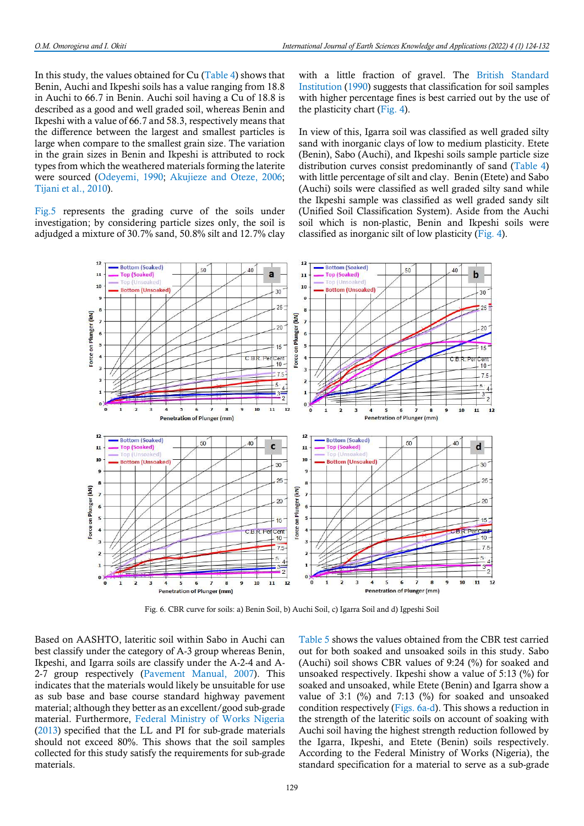In this study, the values obtained for Cu (Table 4) shows that Benin, Auchi and Ikpeshi soils has a value ranging from 18.8 in Auchi to 66.7 in Benin. Auchi soil having a Cu of 18.8 is described as a good and well graded soil, whereas Benin and Ikpeshi with a value of 66.7 and 58.3, respectively means that the difference between the largest and smallest particles is large when compare to the smallest grain size. The variation in the grain sizes in Benin and Ikpeshi is attributed to rock types from which the weathered materials forming the laterite were sourced (Odeyemi, 1990; Akujieze and Oteze, 2006; Tijani et al., 2010).

Fig.5 represents the grading curve of the soils under investigation; by considering particle sizes only, the soil is adjudged a mixture of 30.7% sand, 50.8% silt and 12.7% clay with a little fraction of gravel. The British Standard Institution (1990) suggests that classification for soil samples with higher percentage fines is best carried out by the use of the plasticity chart (Fig. 4).

In view of this, Igarra soil was classified as well graded silty sand with inorganic clays of low to medium plasticity. Etete (Benin), Sabo (Auchi), and Ikpeshi soils sample particle size distribution curves consist predominantly of sand (Table 4) with little percentage of silt and clay. Benin (Etete) and Sabo (Auchi) soils were classified as well graded silty sand while the Ikpeshi sample was classified as well graded sandy silt (Unified Soil Classification System). Aside from the Auchi soil which is non-plastic, Benin and Ikpeshi soils were classified as inorganic silt of low plasticity (Fig. 4).



Fig. 6. CBR curve for soils: a) Benin Soil, b) Auchi Soil, c) Igarra Soil and d) Igpeshi Soil

Based on AASHTO, lateritic soil within Sabo in Auchi can best classify under the category of A-3 group whereas Benin, Ikpeshi, and Igarra soils are classify under the A-2-4 and A-2-7 group respectively (Pavement Manual, 2007). This indicates that the materials would likely be unsuitable for use as sub base and base course standard highway pavement material; although they better as an excellent/good sub-grade material. Furthermore, Federal Ministry of Works Nigeria (2013) specified that the LL and PI for sub-grade materials should not exceed 80%. This shows that the soil samples collected for this study satisfy the requirements for sub-grade materials.

Table 5 shows the values obtained from the CBR test carried out for both soaked and unsoaked soils in this study. Sabo (Auchi) soil shows CBR values of 9:24 (%) for soaked and unsoaked respectively. Ikpeshi show a value of 5:13 (%) for soaked and unsoaked, while Etete (Benin) and Igarra show a value of 3:1 (%) and 7:13 (%) for soaked and unsoaked condition respectively (Figs. 6a-d). This shows a reduction in the strength of the lateritic soils on account of soaking with Auchi soil having the highest strength reduction followed by the Igarra, Ikpeshi, and Etete (Benin) soils respectively. According to the Federal Ministry of Works (Nigeria), the standard specification for a material to serve as a sub-grade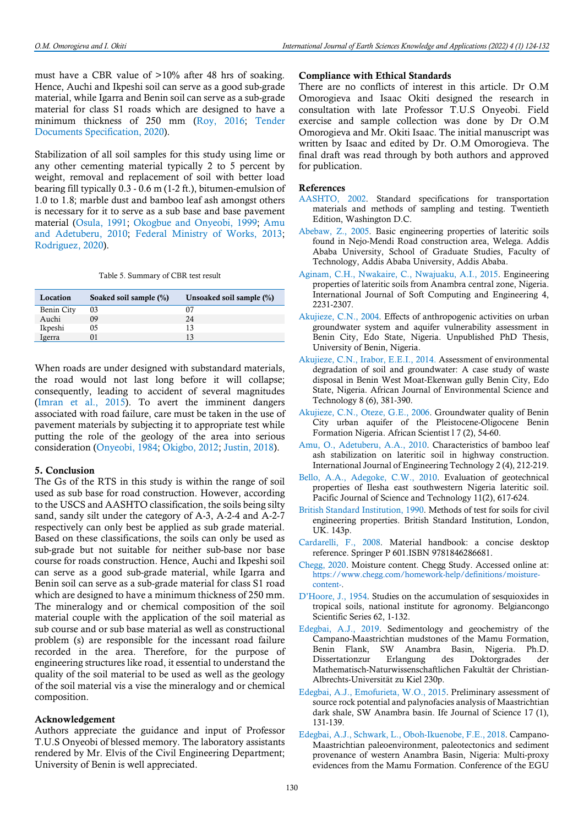must have a CBR value of >10% after 48 hrs of soaking. Hence, Auchi and Ikpeshi soil can serve as a good sub-grade material, while Igarra and Benin soil can serve as a sub-grade material for class S1 roads which are designed to have a minimum thickness of 250 mm (Roy, 2016; Tender Documents Specification, 2020).

Stabilization of all soil samples for this study using lime or any other cementing material typically 2 to 5 percent by weight, removal and replacement of soil with better load bearing fill typically 0.3 - 0.6 m (1-2 ft.), bitumen-emulsion of 1.0 to 1.8; marble dust and bamboo leaf ash amongst others is necessary for it to serve as a sub base and base pavement material (Osula, 1991; Okogbue and Onyeobi, 1999; Amu and Adetuberu, 2010; Federal Ministry of Works, 2013; Rodriguez, 2020).

|  | Table 5. Summary of CBR test result |  |  |
|--|-------------------------------------|--|--|
|--|-------------------------------------|--|--|

| Location          | Soaked soil sample (%) | Unsoaked soil sample (%) |
|-------------------|------------------------|--------------------------|
| <b>Benin City</b> | 03                     | 07                       |
| Auchi             | 09                     | 24                       |
| Ikpeshi           | 05                     | 13                       |
| Igerra            | 91                     | 13                       |

When roads are under designed with substandard materials, the road would not last long before it will collapse; consequently, leading to accident of several magnitudes (Imran et al., 2015). To avert the imminent dangers associated with road failure, care must be taken in the use of pavement materials by subjecting it to appropriate test while putting the role of the geology of the area into serious consideration (Onyeobi, 1984; Okigbo, 2012; Justin, 2018).

#### 5. Conclusion

The Gs of the RTS in this study is within the range of soil used as sub base for road construction. However, according to the USCS and AASHTO classification, the soils being silty sand, sandy silt under the category of A-3, A-2-4 and A-2-7 respectively can only best be applied as sub grade material. Based on these classifications, the soils can only be used as sub-grade but not suitable for neither sub-base nor base course for roads construction. Hence, Auchi and Ikpeshi soil can serve as a good sub-grade material, while Igarra and Benin soil can serve as a sub-grade material for class S1 road which are designed to have a minimum thickness of 250 mm. The mineralogy and or chemical composition of the soil material couple with the application of the soil material as sub course and or sub base material as well as constructional problem (s) are responsible for the incessant road failure recorded in the area. Therefore, for the purpose of engineering structures like road, it essential to understand the quality of the soil material to be used as well as the geology of the soil material vis a vise the mineralogy and or chemical composition.

#### Acknowledgement

Authors appreciate the guidance and input of Professor T.U.S Onyeobi of blessed memory. The laboratory assistants rendered by Mr. Elvis of the Civil Engineering Department; University of Benin is well appreciated.

#### Compliance with Ethical Standards

There are no conflicts of interest in this article. Dr O.M Omorogieva and Isaac Okiti designed the research in consultation with late Professor T.U.S Onyeobi. Field exercise and sample collection was done by Dr O.M Omorogieva and Mr. Okiti Isaac. The initial manuscript was written by Isaac and edited by Dr. O.M Omorogieva. The final draft was read through by both authors and approved for publication.

# References

- AASHTO, 2002. Standard specifications for transportation materials and methods of sampling and testing. Twentieth Edition, Washington D.C.
- Abebaw, Z., 2005. Basic engineering properties of lateritic soils found in Nejo-Mendi Road construction area, Welega. Addis Ababa University, School of Graduate Studies, Faculty of Technology, Addis Ababa University, Addis Ababa.
- Aginam, C.H., Nwakaire, C., Nwajuaku, A.I., 2015. Engineering properties of lateritic soils from Anambra central zone, Nigeria. International Journal of Soft Computing and Engineering 4, 2231-2307.
- Akujieze, C.N., 2004. Effects of anthropogenic activities on urban groundwater system and aquifer vulnerability assessment in Benin City, Edo State, Nigeria. Unpublished PhD Thesis, University of Benin, Nigeria.
- Akujieze, C.N., Irabor, E.E.I., 2014. Assessment of environmental degradation of soil and groundwater: A case study of waste disposal in Benin West Moat-Ekenwan gully Benin City, Edo State, Nigeria. African Journal of Environmental Science and Technology 8 (6), 381-390.
- Akujieze, C.N., Oteze, G.E., 2006. Groundwater quality of Benin City urban aquifer of the Pleistocene-Oligocene Benin Formation Nigeria. African Scientist l 7 (2), 54-60.
- Amu, O., Adetuberu, A.A., 2010. Characteristics of bamboo leaf ash stabilization on lateritic soil in highway construction. International Journal of Engineering Technology 2 (4), 212-219.
- Bello, A.A., Adegoke, C.W., 2010. Evaluation of geotechnical properties of Ilesha east southwestern Nigeria lateritic soil. Pacific Journal of Science and Technology 11(2), 617-624.
- British Standard Institution, 1990. Methods of test for soils for civil engineering properties. British Standard Institution, London, UK. 143p.
- Cardarelli, F., 2008. Material handbook: a concise desktop reference. Springer P 601.ISBN 9781846286681.
- Chegg, 2020. Moisture content. Chegg Study. Accessed online at: https://www.chegg.com/homework-help/definitions/moisturecontent-.
- D'Hoore, J., 1954. Studies on the accumulation of sesquioxides in tropical soils, national institute for agronomy. Belgiancongo Scientific Series 62, 1-132.
- Edegbai, A.J., 2019. Sedimentology and geochemistry of the Campano-Maastrichtian mudstones of the Mamu Formation, Benin Flank, SW Anambra Basin, Nigeria. Ph.D. Dissertationzur Erlangung des Doktorgrades der Mathematisch-Naturwissenschaftlichen Fakultät der Christian-Albrechts-Universität zu Kiel 230p.
- Edegbai, A.J., Emofurieta, W.O., 2015. Preliminary assessment of source rock potential and palynofacies analysis of Maastrichtian dark shale, SW Anambra basin. Ife Journal of Science 17 (1), 131-139.
- Edegbai, A.J., Schwark, L., Oboh-Ikuenobe, F.E., 2018. Campano-Maastrichtian paleoenvironment, paleotectonics and sediment provenance of western Anambra Basin, Nigeria: Multi-proxy evidences from the Mamu Formation. Conference of the EGU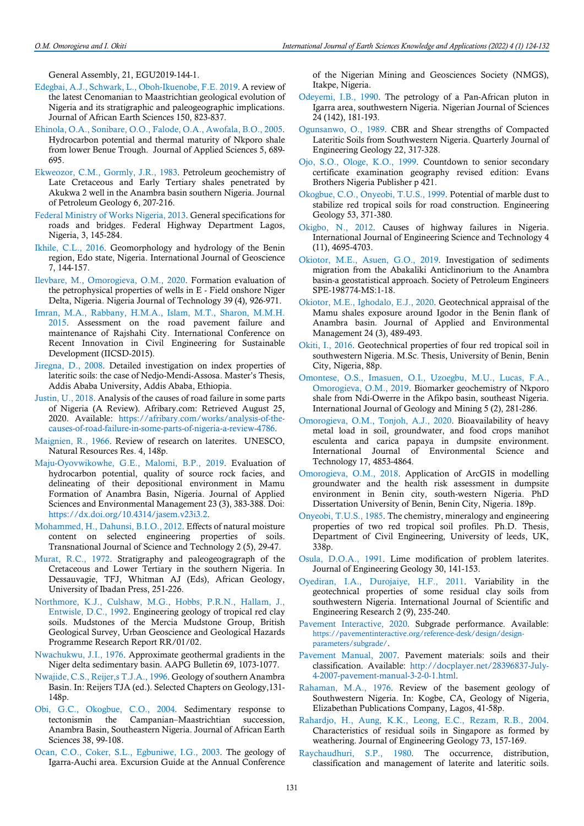General Assembly, 21, EGU2019-144-1.

- Edegbai, A.J., Schwark, L., Oboh-Ikuenobe, F.E. 2019. A review of the latest Cenomanian to Maastrichtian geological evolution of Nigeria and its stratigraphic and paleogeographic implications. Journal of African Earth Sciences 150, 823-837.
- Ehinola, O.A., Sonibare, O.O., Falode, O.A., Awofala, B.O., 2005. Hydrocarbon potential and thermal maturity of Nkporo shale from lower Benue Trough. Journal of Applied Sciences 5, 689- 695.
- Ekweozor, C.M., Gormly, J.R., 1983. Petroleum geochemistry of Late Cretaceous and Early Tertiary shales penetrated by Akukwa 2 well in the Anambra basin southern Nigeria. Journal of Petroleum Geology 6, 207-216.
- Federal Ministry of Works Nigeria, 2013. General specifications for roads and bridges. Federal Highway Department Lagos, Nigeria, 3, 145-284.
- Ikhile, C.L., 2016. Geomorphology and hydrology of the Benin region, Edo state, Nigeria. International Journal of Geoscience 7, 144-157.
- Ilevbare, M., Omorogieva, O.M., 2020. Formation evaluation of the petrophysical properties of wells in E - Field onshore Niger Delta, Nigeria. Nigeria Journal of Technology 39 (4), 926-971.
- Imran, M.A., Rabbany, H.M.A., Islam, M.T., Sharon, M.M.H. 2015. Assessment on the road pavement failure and maintenance of Rajshahi City. International Conference on Recent Innovation in Civil Engineering for Sustainable Development (IICSD-2015).
- Jiregna, D., 2008. Detailed investigation on index properties of lateritic soils: the case of Nedjo-Mendi-Assosa. Master's Thesis, Addis Ababa University, Addis Ababa, Ethiopia.
- Justin, U., 2018. Analysis of the causes of road failure in some parts of Nigeria (A Review). Afribary.com: Retrieved August 25, 2020. Available: https://afribary.com/works/analysis-of-thecauses-of-road-failure-in-some-parts-of-nigeria-a-review-4786.
- Maignien, R., 1966. Review of research on laterites. UNESCO, Natural Resources Res. 4, 148p.
- Maju-Oyovwikowhe, G.E., Malomi, B.P., 2019. Evaluation of hydrocarbon potential, quality of source rock facies, and delineating of their depositional environment in Mamu Formation of Anambra Basin, Nigeria. Journal of Applied Sciences and Environmental Management 23 (3), 383-388. Doi: https://dx.doi.org/10.4314/jasem.v23i3.2.
- Mohammed, H., Dahunsi, B.I.O., 2012. Effects of natural moisture content on selected engineering properties of soils. Transnational Journal of Science and Technology 2 (5), 29-47.
- Murat, R.C., 1972. Stratigraphy and paleogeogragraph of the Cretaceous and Lower Tertiary in the southern Nigeria. In Dessauvagie, TFJ, Whitman AJ (Eds), African Geology, University of Ibadan Press, 251-226.
- Northmore, K.J., Culshaw, M.G., Hobbs, P.R.N., Hallam, J., Entwisle, D.C., 1992. Engineering geology of tropical red clay soils. Mudstones of the Mercia Mudstone Group, British Geological Survey, Urban Geoscience and Geological Hazards Programme Research Report RR/01/02.
- Nwachukwu, J.I., 1976. Approximate geothermal gradients in the Niger delta sedimentary basin. AAPG Bulletin 69, 1073-1077.
- Nwajide, C.S., Reijer,s T.J.A., 1996. Geology of southern Anambra Basin. In: Reijers TJA (ed.). Selected Chapters on Geology,131- 148p.
- Obi, G.C., Okogbue, C.O., 2004. Sedimentary response to tectonismin the Campanian–Maastrichtian succession, Anambra Basin, Southeastern Nigeria. Journal of African Earth Sciences 38, 99-108.
- Ocan, C.O., Coker, S.L., Egbuniwe, I.G., 2003. The geology of Igarra-Auchi area. Excursion Guide at the Annual Conference

of the Nigerian Mining and Geosciences Society (NMGS), Itakpe, Nigeria.

- Odeyemi, I.B., 1990. The petrology of a Pan-African pluton in Igarra area, southwestern Nigeria. Nigerian Journal of Sciences 24 (142), 181-193.
- Ogunsanwo, O., 1989. CBR and Shear strengths of Compacted Lateritic Soils from Southwestern Nigeria. Quarterly Journal of Engineering Geology 22, 317-328.
- Ojo, S.O., Ologe, K.O., 1999. Countdown to senior secondary certificate examination geography revised edition: Evans Brothers Nigeria Publisher p 421.
- Okogbue, C.O., Onyeobi, T.U.S., 1999. Potential of marble dust to stabilize red tropical soils for road construction. Engineering Geology 53, 371-380.
- Okigbo, N., 2012. Causes of highway failures in Nigeria. International Journal of Engineering Science and Technology 4 (11), 4695-4703.
- Okiotor, M.E., Asuen, G.O., 2019. Investigation of sediments migration from the Abakaliki Anticlinorium to the Anambra basin-a geostatistical approach. Society of Petroleum Engineers SPE-198774-MS:1-18.
- Okiotor, M.E., Ighodalo, E.J., 2020. Geotechnical appraisal of the Mamu shales exposure around Igodor in the Benin flank of Anambra basin. Journal of Applied and Environmental Management 24 (3), 489-493.
- Okiti, I., 2016. Geotechnical properties of four red tropical soil in southwestern Nigeria. M.Sc. Thesis, University of Benin, Benin City, Nigeria, 88p.
- Omontese, O.S., Imasuen, O.I., Uzoegbu, M.U., Lucas, F.A., Omorogieva, O.M., 2019. Biomarker geochemistry of Nkporo shale from Ndi-Owerre in the Afikpo basin, southeast Nigeria. International Journal of Geology and Mining 5 (2), 281-286.
- Omorogieva, O.M., Tonjoh, A.J., 2020. Bioavailability of heavy metal load in soil, groundwater, and food crops manihot esculenta and carica papaya in dumpsite environment. International Journal of Environmental Science and Technology 17, 4853-4864.
- Omorogieva, O.M., 2018. Application of ArcGIS in modelling groundwater and the health risk assessment in dumpsite environment in Benin city, south-western Nigeria. PhD Dissertation University of Benin, Benin City, Nigeria. 189p.
- Onyeobi, T.U.S., 1985. The chemistry, mineralogy and engineering properties of two red tropical soil profiles. Ph.D. Thesis, Department of Civil Engineering, University of leeds, UK, 338p.
- Osula, D.O.A., 1991. Lime modification of problem laterites. Journal of Engineering Geology 30, 141-153.
- Oyediran, I.A., Durojaiye, H.F., 2011. Variability in the geotechnical properties of some residual clay soils from southwestern Nigeria. International Journal of Scientific and Engineering Research 2 (9), 235-240.
- Pavement Interactive, 2020. Subgrade performance. Available: https://pavementinteractive.org/reference-desk/design/designparameters/subgrade/.
- Pavement Manual, 2007. Pavement materials: soils and their classification. Available: http://docplayer.net/28396837-July-4-2007-pavement-manual-3-2-0-1.html.
- Rahaman, M.A., 1976. Review of the basement geology of Southwestern Nigeria. In: Kogbe, CA, Geology of Nigeria, Elizabethan Publications Company, Lagos, 41-58p.
- Rahardjo, H., Aung, K.K., Leong, E.C., Rezam, R.B., 2004. Characteristics of residual soils in Singapore as formed by weathering. Journal of Engineering Geology 73, 157-169.
- Raychaudhuri, S.P., 1980. The occurrence, distribution, classification and management of laterite and lateritic soils.